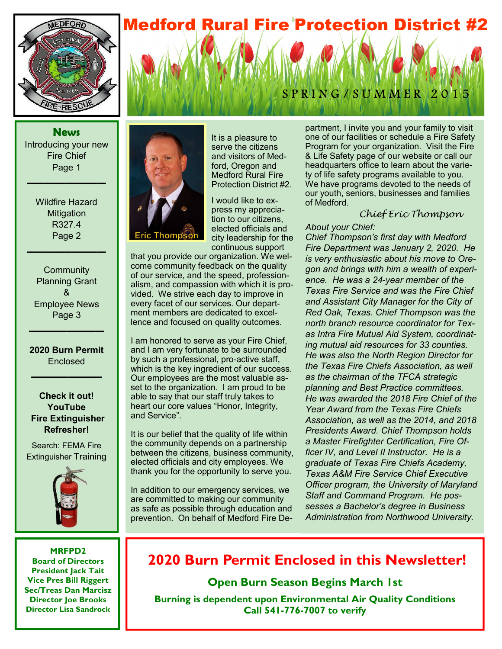## **Medford Rural Fire Protection District #2**



**News**  Introducing your new Fire Chief Page 1

**\_\_\_\_\_\_\_\_\_\_\_\_\_\_\_\_\_\_\_** 

Wildfire Hazard **Mitigation** R327.4 Page 2

**\_\_\_\_\_\_\_\_\_\_\_\_\_\_\_\_\_\_\_** 

**Community** Planning Grant & Employee News Page 3

#### **2020 Burn Permit Enclosed**

**\_\_\_\_\_\_\_\_\_\_\_\_\_\_\_\_\_** 

**\_\_\_\_\_\_\_\_\_\_\_\_\_\_\_\_\_\_** 

**Check it out! YouTube Fire Extinguisher Refresher!**

Search: FEMA Fire Extinguisher Training



**MRFPD2 Board of Directors President Jack Tait Vice Pres Bill Riggert Sec/Treas Dan Marcisz Director Joe Brooks Director Lisa Sandrock** 





It is a pleasure to serve the citizens and visitors of Medford, Oregon and Medford Rural Fire Protection District #2.

I would like to express my appreciation to our citizens, elected officials and city leadership for the continuous support

that you provide our organization. We welcome community feedback on the quality of our service, and the speed, professionalism, and compassion with which it is provided. We strive each day to improve in every facet of our services. Our department members are dedicated to excellence and focused on quality outcomes.

I am honored to serve as your Fire Chief, and I am very fortunate to be surrounded by such a professional, pro-active staff, which is the key ingredient of our success. Our employees are the most valuable asset to the organization. I am proud to be able to say that our staff truly takes to heart our core values "Honor, Integrity, and Service".

It is our belief that the quality of life within the community depends on a partnership between the citizens, business community, elected officials and city employees. We thank you for the opportunity to serve you.

In addition to our emergency services, we are committed to making our community as safe as possible through education and prevention. On behalf of Medford Fire Department, I invite you and your family to visit one of our facilities or schedule a Fire Safety Program for your organization. Visit the Fire & Life Safety page of our website or call our headquarters office to learn about the variety of life safety programs available to you. We have programs devoted to the needs of our youth, seniors, businesses and families of Medford.

#### Chief Eric Thompson

#### *About your Chief:*

*Chief Thompson's first day with Medford Fire Department was January 2, 2020. He is very enthusiastic about his move to Oregon and brings with him a wealth of experience. He was a 24*-*year member of the Texas Fire Service and was the Fire Chief and Assistant City Manager for the City of Red Oak, Texas. Chief Thompson was the north branch resource coordinator for Texas Intra Fire Mutual Aid System, coordinating mutual aid resources for 33 counties. He was also the North Region Director for the Texas Fire Chiefs Association, as well as the chairman of the TFCA strategic planning and Best Practice committees. He was awarded the 2018 Fire Chief of the Year Award from the Texas Fire Chiefs Association, as well as the 2014, and 2018 Presidents Award. Chief Thompson holds a Master Firefighter Certification, Fire Officer IV, and Level II Instructor. He is a graduate of Texas Fire Chiefs Academy, Texas A&M Fire Service Chief Executive Officer program, the University of Maryland Staff and Command Program. He possesses a Bachelor's degree in Business Administration from Northwood University.*

### **2020 Burn Permit Enclosed in this Newsletter!**

**Open Burn Season Begins March 1st** 

**Burning is dependent upon Environmental Air Quality Conditions Call 541-776-7007 to verify**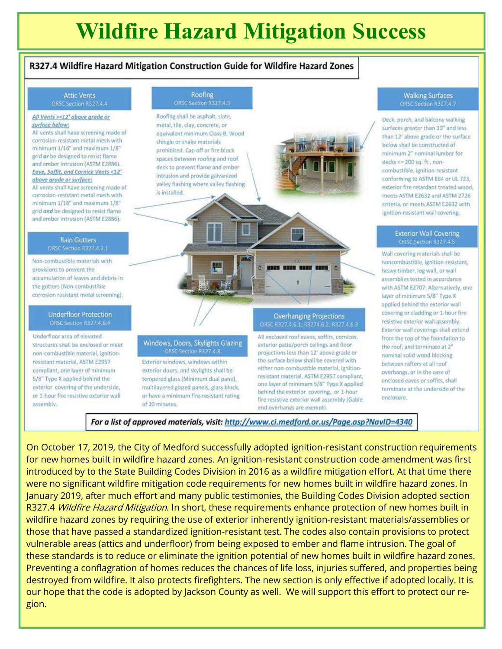# **Wildfire Hazard Mitigation Success**

#### R327.4 Wildfire Hazard Mitigation Construction Guide for Wildfire Hazard Zones

### **Attic Vents**

#### All Vents >=12' above grade or surface below:

All vents shall have screening made of corrosion-resistant metal mesh with minimum 1/16" and maximum 1/8" grid or be designed to resist flame and ember intrusion (ASTM E2886). Eave, Soffit, and Cornice Vents <12' above grade or surface:

All vents shall have screening made of corrosion-resistant metal mesh with minimum 1/16" and maximum 1/8" grid and be designed to resist flame and ember intrusion (ASTM E2886).

### **Rain Gutters**

Non-combustible materials with provisions to prevent the accumulation of leaves and debris in the gutters (Non-combustible corrosion resistant metal screening).

#### **Underfloor Protection** ORSC Section R327.4.6.4

Underfloor area of elevated structures shall be enclosed or meetnon-combustible material, ignitionresistant material, ASTM E2957 compliant, one layer of minimum 5/8" Type X applied behind the exterior covering of the underside, or 1-hour fire resistive exterior wall assembly.



Exterior windows, windows within exterior doors, and skylights shall be tempered glass (Minimum dual pane), multilayered glazed panels, glass block, or have a minimum fire-resistant rating of 20 minutes.

#### **Overhanging Projections**

All enclosed roof eaves, soffits, cornices, exterior patio/porch ceilings and floor projections less than 12' above grade or the surface below shall be covered with either non-combustible material, ignitionresistant material, ASTM E2957 compliant, one layer of minimum 5/8" Type X applied behind the exterior covering, or 1-hour fire resistive exterior wall assembly (Gable end overhangs are exempt).

### **Walking Surfaces**

Deck, porch, and balcony walking surfaces greater than 30" and less than 12' above grade or the surface below shall be constructed of minimum 2" nominal lumber for decks <= 200 sq. ft., noncombustible, ignition-resistant conforming to ASTM E84 or UL 723, exterior fire retardant treated wood. meets ASTM E2632 and ASTM 2726 criteria, or meets ASTM E2632 with ignition-resistant wall covering.

### **Exterior Wall Covering**

Wall covering materials shall be noncombustible, ignition-resistant, heavy timber, log wall, or wall assemblies tested in accordance with ASTM E2707. Alternatively, one layer of minimum 5/8" Type X applied behind the exterior wall covering or cladding or 1-hour fire resistive exterior wall assembly. Exterior wall coverings shall extend from the top of the foundation to the roof, and terminate at 2" nominal solid wood blocking between rafters at all roof overhangs, or in the case of enclosed eaves or soffits, shall terminate at the underside of the enclosure.

For a list of approved materials, visit: http://www.ci.medford.or.us/Page.asp?NavID=4340

On October 17, 2019, the City of Medford successfully adopted ignition-resistant construction requirements for new homes built in wildfire hazard zones. An ignition-resistant construction code amendment was first introduced by to the State Building Codes Division in 2016 as a wildfire mitigation effort. At that time there were no significant wildfire mitigation code requirements for new homes built in wildfire hazard zones. In January 2019, after much effort and many public testimonies, the Building Codes Division adopted section R327.4 Wildfire Hazard Mitigation. In short, these requirements enhance protection of new homes built in wildfire hazard zones by requiring the use of exterior inherently ignition-resistant materials/assemblies or those that have passed a standardized ignition-resistant test. The codes also contain provisions to protect vulnerable areas (attics and underfloor) from being exposed to ember and flame intrusion. The goal of these standards is to reduce or eliminate the ignition potential of new homes built in wildfire hazard zones. Preventing a conflagration of homes reduces the chances of life loss, injuries suffered, and properties being destroyed from wildfire. It also protects firefighters. The new section is only effective if adopted locally. It is our hope that the code is adopted by Jackson County as well. We will support this effort to protect our region.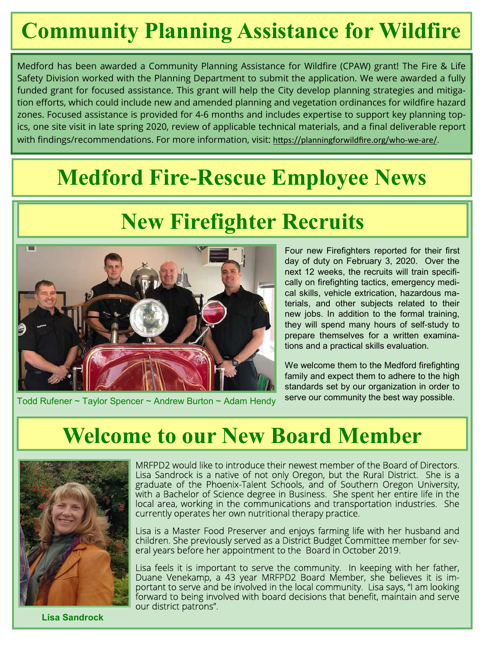# **Community Planning Assistance for Wildfire**

Medford has been awarded a Community Planning Assistance for Wildfire (CPAW) grant! The Fire & Life Safety Division worked with the Planning Department to submit the application. We were awarded a fully funded grant for focused assistance. This grant will help the City develop planning strategies and mitigation efforts, which could include new and amended planning and vegetation ordinances for wildfire hazard zones. Focused assistance is provided for 4-6 months and includes expertise to support key planning topics, one site visit in late spring 2020, review of applicable technical materials, and a final deliverable report with findings/recommendations. For more information, visit: https://planningforwildfire.org/who-we-are/.

# **Medford Fire-Rescue Employee News**

# **New Firefighter Recruits**



Todd Rufener ~ Taylor Spencer ~ Andrew Burton ~ Adam Hendy

Four new Firefighters reported for their first day of duty on February 3, 2020. Over the next 12 weeks, the recruits will train specifically on firefighting tactics, emergency medical skills, vehicle extrication, hazardous materials, and other subjects related to their new jobs. In addition to the formal training, they will spend many hours of self-study to prepare themselves for a written examinations and a practical skills evaluation.

We welcome them to the Medford firefighting family and expect them to adhere to the high standards set by our organization in order to serve our community the best way possible.

## **Welcome to our New Board Member**



MRFPD2 would like to introduce their newest member of the Board of Directors. Lisa Sandrock is a native of not only Oregon, but the Rural District. She is a graduate of the Phoenix-Talent Schools, and of Southern Oregon University, with a Bachelor of Science degree in Business. She spent her entire life in the local area, working in the communications and transportation industries. She currently operates her own nutritional therapy practice.

Lisa is a Master Food Preserver and enjoys farming life with her husband and children. She previously served as a District Budget Committee member for several years before her appointment to the Board in October 2019.

Lisa feels it is important to serve the community. In keeping with her father, Duane Venekamp, a 43 year MRFPD2 Board Member, she believes it is important to serve and be involved in the local community. Lisa says, "I am looking forward to being involved with board decisions that benefit, maintain and serve our district patrons".

**Lisa Sandrock**